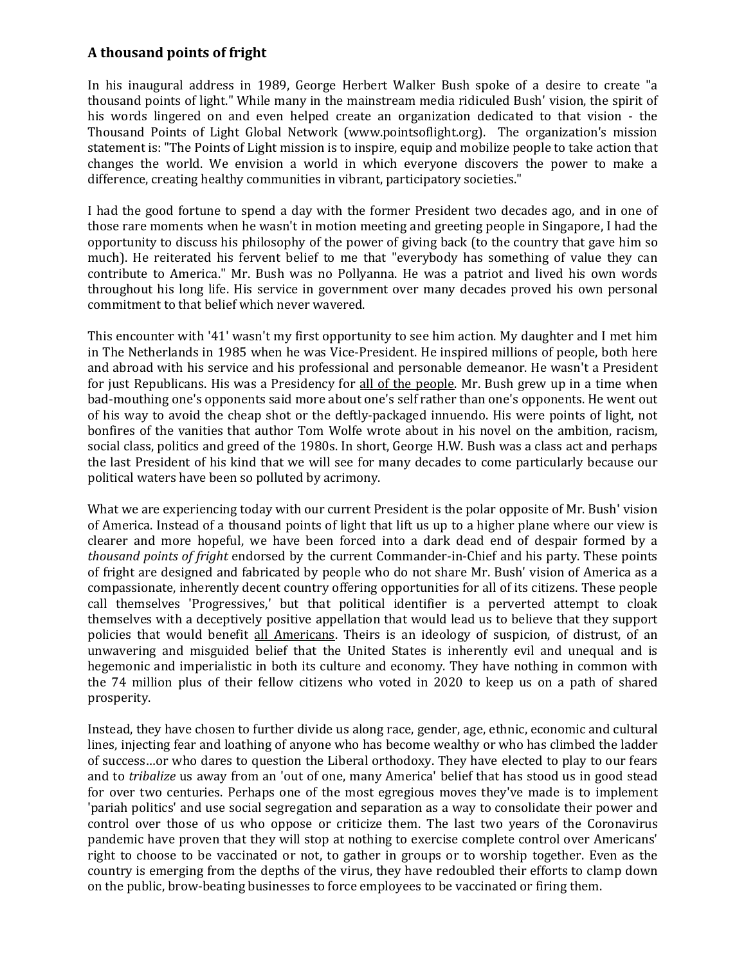## **A thousand points of fright**

In his inaugural address in 1989, George Herbert Walker Bush spoke of a desire to create "a thousand points of light." While many in the mainstream media ridiculed Bush' vision, the spirit of his words lingered on and even helped create an organization dedicated to that vision - the Thousand Points of Light Global Network (www.pointsoflight.org). The organization's mission statement is: "The Points of Light mission is to inspire, equip and mobilize people to take action that changes the world. We envision a world in which everyone discovers the power to make a difference, creating healthy communities in vibrant, participatory societies."

I had the good fortune to spend a day with the former President two decades ago, and in one of those rare moments when he wasn't in motion meeting and greeting people in Singapore, I had the opportunity to discuss his philosophy of the power of giving back (to the country that gave him so much). He reiterated his fervent belief to me that "everybody has something of value they can contribute to America." Mr. Bush was no Pollyanna. He was a patriot and lived his own words throughout his long life. His service in government over many decades proved his own personal commitment to that belief which never wavered.

This encounter with '41' wasn't my first opportunity to see him action. My daughter and I met him in The Netherlands in 1985 when he was Vice-President. He inspired millions of people, both here and abroad with his service and his professional and personable demeanor. He wasn't a President for just Republicans. His was a Presidency for all of the people. Mr. Bush grew up in a time when bad-mouthing one's opponents said more about one's self rather than one's opponents. He went out of his way to avoid the cheap shot or the deftly-packaged innuendo. His were points of light, not bonfires of the vanities that author Tom Wolfe wrote about in his novel on the ambition, racism, social class, politics and greed of the 1980s. In short, George H.W. Bush was a class act and perhaps the last President of his kind that we will see for many decades to come particularly because our political waters have been so polluted by acrimony.

What we are experiencing today with our current President is the polar opposite of Mr. Bush' vision of America. Instead of a thousand points of light that lift us up to a higher plane where our view is clearer and more hopeful, we have been forced into a dark dead end of despair formed by a *thousand points of fright* endorsed by the current Commander-in-Chief and his party. These points of fright are designed and fabricated by people who do not share Mr. Bush' vision of America as a compassionate, inherently decent country offering opportunities for all of its citizens. These people call themselves 'Progressives,' but that political identifier is a perverted attempt to cloak themselves with a deceptively positive appellation that would lead us to believe that they support policies that would benefit all Americans. Theirs is an ideology of suspicion, of distrust, of an unwavering and misguided belief that the United States is inherently evil and unequal and is hegemonic and imperialistic in both its culture and economy. They have nothing in common with the 74 million plus of their fellow citizens who voted in 2020 to keep us on a path of shared prosperity.

Instead, they have chosen to further divide us along race, gender, age, ethnic, economic and cultural lines, injecting fear and loathing of anyone who has become wealthy or who has climbed the ladder of success…or who dares to question the Liberal orthodoxy. They have elected to play to our fears and to *tribalize* us away from an 'out of one, many America' belief that has stood us in good stead for over two centuries. Perhaps one of the most egregious moves they've made is to implement 'pariah politics' and use social segregation and separation as a way to consolidate their power and control over those of us who oppose or criticize them. The last two years of the Coronavirus pandemic have proven that they will stop at nothing to exercise complete control over Americans' right to choose to be vaccinated or not, to gather in groups or to worship together. Even as the country is emerging from the depths of the virus, they have redoubled their efforts to clamp down on the public, brow-beating businesses to force employees to be vaccinated or firing them.